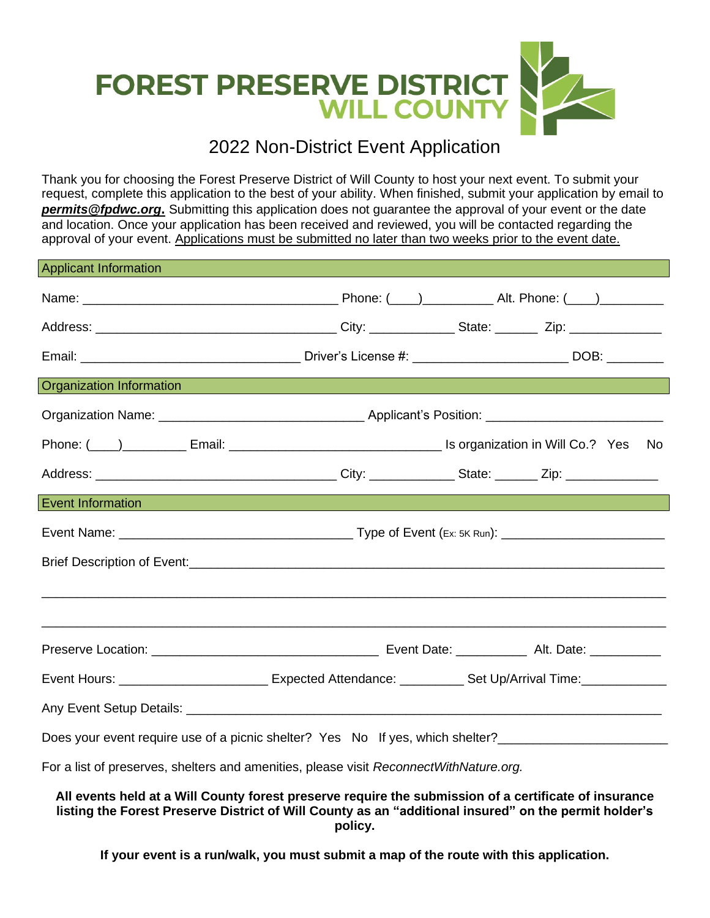

# 2022 Non-District Event Application

Thank you for choosing the Forest Preserve District of Will County to host your next event. To submit your request, complete this application to the best of your ability. When finished, submit your application by email to *[permits@fpdwc.org](mailto:permits@fpdwc.org)***.** Submitting this application does not guarantee the approval of your event or the date and location. Once your application has been received and reviewed, you will be contacted regarding the approval of your event. Applications must be submitted no later than two weeks prior to the event date.

| <b>Applicant Information</b>                                                                                   |                                                                                  |  |  |  |
|----------------------------------------------------------------------------------------------------------------|----------------------------------------------------------------------------------|--|--|--|
|                                                                                                                |                                                                                  |  |  |  |
|                                                                                                                |                                                                                  |  |  |  |
|                                                                                                                |                                                                                  |  |  |  |
| <b>Organization Information</b>                                                                                | ,我们也不能会有一个人的事情。""我们是我们的事情,我们也不能会有一个人的事情。""我们的事情,我们也不能会有一个人的事情。""我们的事情,我们的事情,我们也不 |  |  |  |
|                                                                                                                |                                                                                  |  |  |  |
|                                                                                                                |                                                                                  |  |  |  |
|                                                                                                                |                                                                                  |  |  |  |
| Event Information and the contract of the contract of the contract of the contract of the contract of          |                                                                                  |  |  |  |
|                                                                                                                |                                                                                  |  |  |  |
|                                                                                                                |                                                                                  |  |  |  |
|                                                                                                                | ,我们也不能在这里的,我们也不能在这里的时候,我们也不能在这里的时候,我们也不能在这里的时候,我们也不能在这里的时候,我们也不能在这里的时候,我们也不能在这里的 |  |  |  |
|                                                                                                                |                                                                                  |  |  |  |
|                                                                                                                |                                                                                  |  |  |  |
| Event Hours: _______________________________ Expected Attendance: _____________Set Up/Arrival Time:___________ |                                                                                  |  |  |  |
|                                                                                                                |                                                                                  |  |  |  |
| Does your event require use of a picnic shelter? Yes No If yes, which shelter?______________________           |                                                                                  |  |  |  |
| For a list of preserves, shelters and amenities, please visit ReconnectWithNature.org.                         |                                                                                  |  |  |  |
|                                                                                                                |                                                                                  |  |  |  |

**All events held at a Will County forest preserve require the submission of a certificate of insurance listing the Forest Preserve District of Will County as an "additional insured" on the permit holder's policy.**

**If your event is a run/walk, you must submit a map of the route with this application.**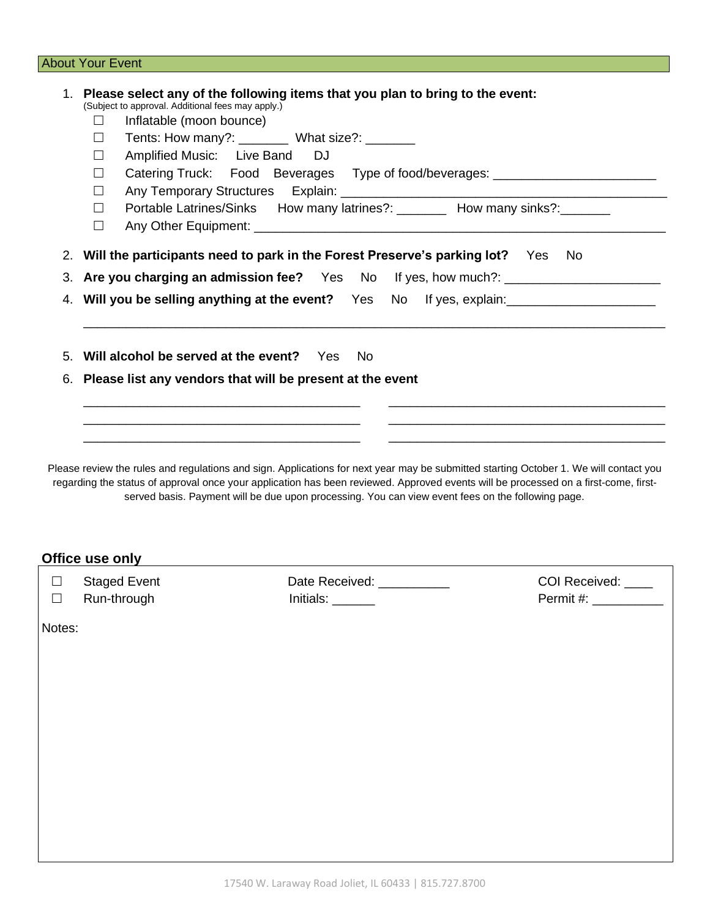### **About Your Event**

|        | (Subject to approval. Additional fees may apply.)<br>Inflatable (moon bounce)<br>ш | 1. Please select any of the following items that you plan to bring to the event:                                                                                                                                                                                                                                                                                                  |                    |  |
|--------|------------------------------------------------------------------------------------|-----------------------------------------------------------------------------------------------------------------------------------------------------------------------------------------------------------------------------------------------------------------------------------------------------------------------------------------------------------------------------------|--------------------|--|
|        | П                                                                                  | Tents: How many?: _________ What size?: _______                                                                                                                                                                                                                                                                                                                                   |                    |  |
|        | Amplified Music: Live Band<br>$\Box$                                               | <b>DJ</b>                                                                                                                                                                                                                                                                                                                                                                         |                    |  |
|        | $\Box$                                                                             | Catering Truck: Food Beverages Type of food/beverages: _________________________                                                                                                                                                                                                                                                                                                  |                    |  |
|        | $\Box$                                                                             |                                                                                                                                                                                                                                                                                                                                                                                   |                    |  |
|        | $\Box$<br>$\Box$                                                                   | Portable Latrines/Sinks How many latrines?: ________ How many sinks?: _______                                                                                                                                                                                                                                                                                                     |                    |  |
|        | 2. Will the participants need to park in the Forest Preserve's parking lot? Yes No |                                                                                                                                                                                                                                                                                                                                                                                   |                    |  |
|        | 3. Are you charging an admission fee? Yes No If yes, how much?: ________________   |                                                                                                                                                                                                                                                                                                                                                                                   |                    |  |
|        |                                                                                    | 4. Will you be selling anything at the event? Yes No If yes, explain: _________________                                                                                                                                                                                                                                                                                           |                    |  |
|        |                                                                                    | 5. Will alcohol be served at the event? Yes No                                                                                                                                                                                                                                                                                                                                    |                    |  |
|        |                                                                                    | 6. Please list any vendors that will be present at the event                                                                                                                                                                                                                                                                                                                      |                    |  |
|        |                                                                                    |                                                                                                                                                                                                                                                                                                                                                                                   |                    |  |
|        |                                                                                    |                                                                                                                                                                                                                                                                                                                                                                                   |                    |  |
|        |                                                                                    | Please review the rules and regulations and sign. Applications for next year may be submitted starting October 1. We will contact you<br>regarding the status of approval once your application has been reviewed. Approved events will be processed on a first-come, first-<br>served basis. Payment will be due upon processing. You can view event fees on the following page. |                    |  |
|        | Office use only                                                                    |                                                                                                                                                                                                                                                                                                                                                                                   |                    |  |
| $\Box$ | <b>Staged Event</b>                                                                | Date Received: Networks and the Second State Second State State State State State State State State State State State State State State State State State State State State State State State State State State State State St                                                                                                                                                    | COI Received: ____ |  |
| $\Box$ | Run-through                                                                        | Initials:                                                                                                                                                                                                                                                                                                                                                                         | Permit #:          |  |
| Notes: |                                                                                    |                                                                                                                                                                                                                                                                                                                                                                                   |                    |  |
|        |                                                                                    |                                                                                                                                                                                                                                                                                                                                                                                   |                    |  |
|        |                                                                                    |                                                                                                                                                                                                                                                                                                                                                                                   |                    |  |
|        |                                                                                    |                                                                                                                                                                                                                                                                                                                                                                                   |                    |  |
|        |                                                                                    |                                                                                                                                                                                                                                                                                                                                                                                   |                    |  |
|        |                                                                                    |                                                                                                                                                                                                                                                                                                                                                                                   |                    |  |
|        |                                                                                    |                                                                                                                                                                                                                                                                                                                                                                                   |                    |  |
|        |                                                                                    |                                                                                                                                                                                                                                                                                                                                                                                   |                    |  |
|        |                                                                                    |                                                                                                                                                                                                                                                                                                                                                                                   |                    |  |
|        |                                                                                    |                                                                                                                                                                                                                                                                                                                                                                                   |                    |  |
|        |                                                                                    |                                                                                                                                                                                                                                                                                                                                                                                   |                    |  |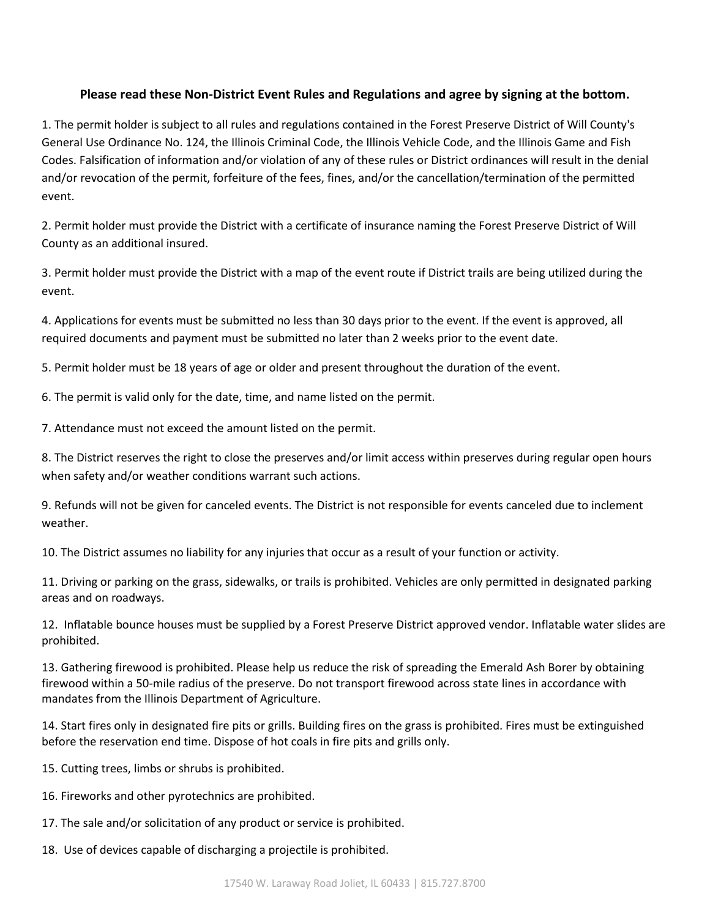#### **Please read these Non-District Event Rules and Regulations and agree by signing at the bottom.**

1. The permit holder is subject to all rules and regulations contained in the Forest Preserve District of Will County's General Use Ordinance No. 124, the Illinois Criminal Code, the Illinois Vehicle Code, and the Illinois Game and Fish Codes. Falsification of information and/or violation of any of these rules or District ordinances will result in the denial and/or revocation of the permit, forfeiture of the fees, fines, and/or the cancellation/termination of the permitted event.

2. Permit holder must provide the District with a certificate of insurance naming the Forest Preserve District of Will County as an additional insured.

3. Permit holder must provide the District with a map of the event route if District trails are being utilized during the event.

4. Applications for events must be submitted no less than 30 days prior to the event. If the event is approved, all required documents and payment must be submitted no later than 2 weeks prior to the event date.

5. Permit holder must be 18 years of age or older and present throughout the duration of the event.

6. The permit is valid only for the date, time, and name listed on the permit.

7. Attendance must not exceed the amount listed on the permit.

8. The District reserves the right to close the preserves and/or limit access within preserves during regular open hours when safety and/or weather conditions warrant such actions.

9. Refunds will not be given for canceled events. The District is not responsible for events canceled due to inclement weather.

10. The District assumes no liability for any injuries that occur as a result of your function or activity.

11. Driving or parking on the grass, sidewalks, or trails is prohibited. Vehicles are only permitted in designated parking areas and on roadways.

12. Inflatable bounce houses must be supplied by a Forest Preserve District approved vendor. Inflatable water slides are prohibited.

13. Gathering firewood is prohibited. Please help us reduce the risk of spreading the Emerald Ash Borer by obtaining firewood within a 50-mile radius of the preserve. Do not transport firewood across state lines in accordance with mandates from the Illinois Department of Agriculture.

14. Start fires only in designated fire pits or grills. Building fires on the grass is prohibited. Fires must be extinguished before the reservation end time. Dispose of hot coals in fire pits and grills only.

- 15. Cutting trees, limbs or shrubs is prohibited.
- 16. Fireworks and other pyrotechnics are prohibited.
- 17. The sale and/or solicitation of any product or service is prohibited.
- 18. Use of devices capable of discharging a projectile is prohibited.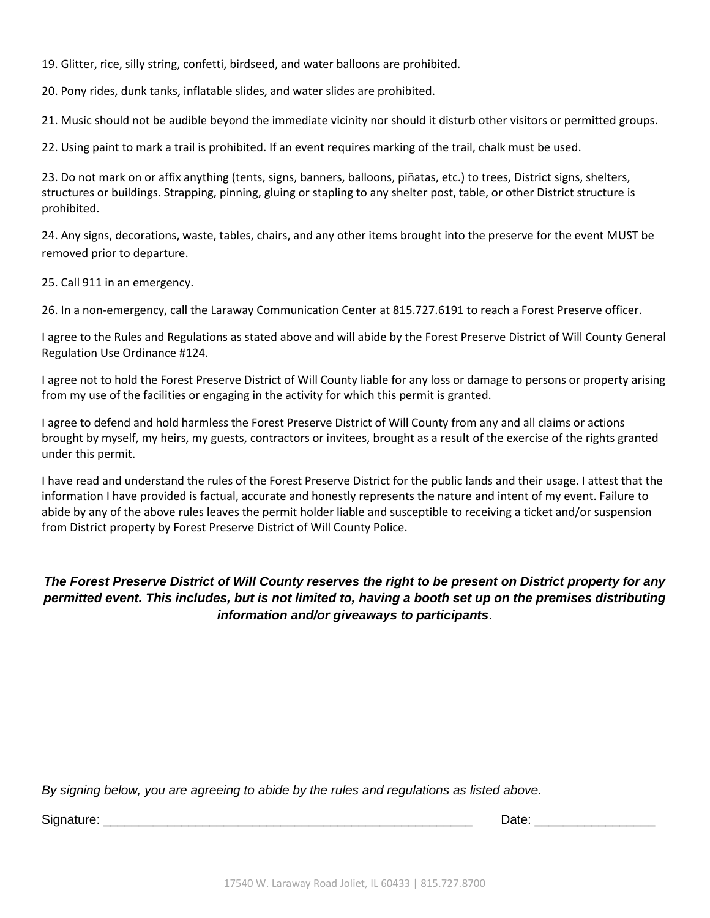19. Glitter, rice, silly string, confetti, birdseed, and water balloons are prohibited.

20. Pony rides, dunk tanks, inflatable slides, and water slides are prohibited.

21. Music should not be audible beyond the immediate vicinity nor should it disturb other visitors or permitted groups.

22. Using paint to mark a trail is prohibited. If an event requires marking of the trail, chalk must be used.

23. Do not mark on or affix anything (tents, signs, banners, balloons, piñatas, etc.) to trees, District signs, shelters, structures or buildings. Strapping, pinning, gluing or stapling to any shelter post, table, or other District structure is prohibited.

24. Any signs, decorations, waste, tables, chairs, and any other items brought into the preserve for the event MUST be removed prior to departure.

25. Call 911 in an emergency.

26. In a non-emergency, call the Laraway Communication Center at 815.727.6191 to reach a Forest Preserve officer.

I agree to the Rules and Regulations as stated above and will abide by the Forest Preserve District of Will County General Regulation Use Ordinance #124.

I agree not to hold the Forest Preserve District of Will County liable for any loss or damage to persons or property arising from my use of the facilities or engaging in the activity for which this permit is granted.

I agree to defend and hold harmless the Forest Preserve District of Will County from any and all claims or actions brought by myself, my heirs, my guests, contractors or invitees, brought as a result of the exercise of the rights granted under this permit.

I have read and understand the rules of the Forest Preserve District for the public lands and their usage. I attest that the information I have provided is factual, accurate and honestly represents the nature and intent of my event. Failure to abide by any of the above rules leaves the permit holder liable and susceptible to receiving a ticket and/or suspension from District property by Forest Preserve District of Will County Police.

### *The Forest Preserve District of Will County reserves the right to be present on District property for any permitted event. This includes, but is not limited to, having a booth set up on the premises distributing information and/or giveaways to participants*.

*By signing below, you are agreeing to abide by the rules and regulations as listed above.*

Signature: \_\_\_\_\_\_\_\_\_\_\_\_\_\_\_\_\_\_\_\_\_\_\_\_\_\_\_\_\_\_\_\_\_\_\_\_\_\_\_\_\_\_\_\_\_\_\_\_\_\_\_\_ Date: \_\_\_\_\_\_\_\_\_\_\_\_\_\_\_\_\_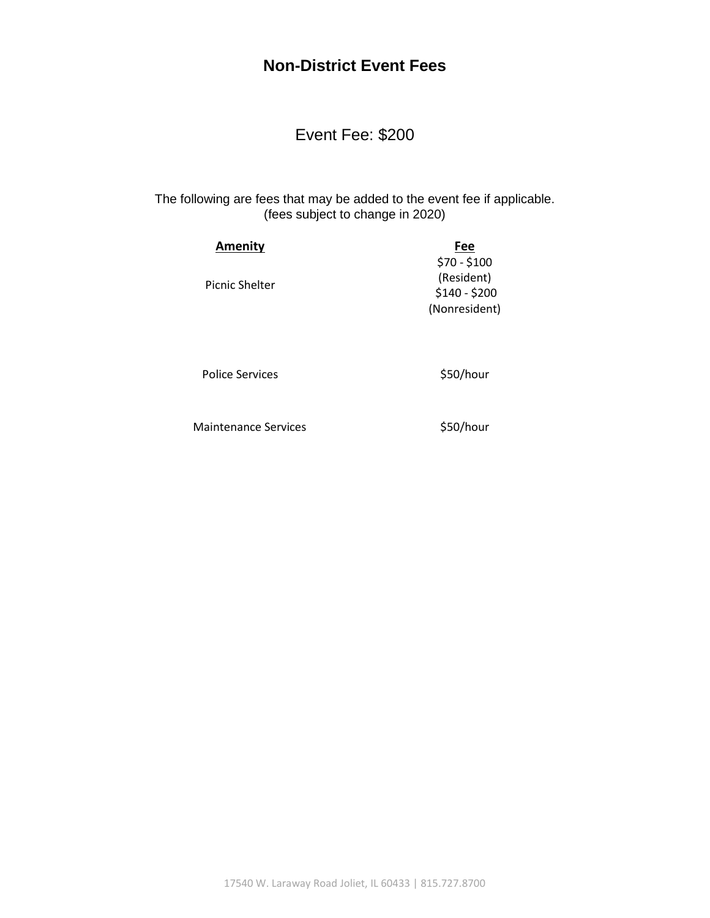## **Non-District Event Fees**

Event Fee: \$200

The following are fees that may be added to the event fee if applicable. (fees subject to change in 2020)

| <b>Amenity</b> | Fee           |
|----------------|---------------|
|                | $$70 - $100$  |
|                | (Resident)    |
| Picnic Shelter | $$140 - $200$ |
|                | (Nonresident) |

Police Services **\$50/hour** 

Maintenance Services **\$50/hour**